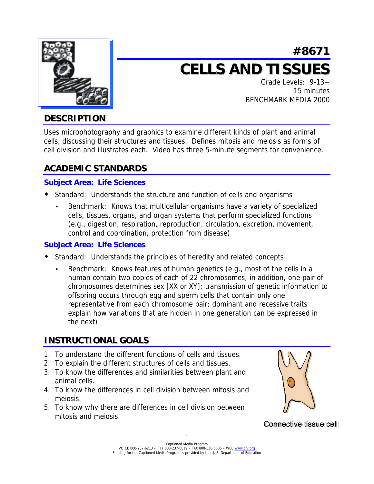

# **#8671 CELLS AND TISSUES**

Grade Levels: 9-13+ 15 minutes BENCHMARK MEDIA 2000

# **DESCRIPTION**

Uses microphotography and graphics to examine different kinds of plant and animal cells, discussing their structures and tissues. Defines mitosis and meiosis as forms of cell division and illustrates each. Video has three 5-minute segments for convenience.

# **ACADEMIC STANDARDS**

#### **Subject Area: Life Sciences**

- ! Standard: Understands the structure and function of cells and organisms
	- Benchmark: Knows that multicellular organisms have a variety of specialized cells, tissues, organs, and organ systems that perform specialized functions (e.g., digestion, respiration, reproduction, circulation, excretion, movement, control and coordination, protection from disease)

#### **Subject Area: Life Sciences**

- ! Standard: Understands the principles of heredity and related concepts
	- Benchmark: Knows features of human genetics (e.g., most of the cells in a human contain two copies of each of 22 chromosomes; in addition, one pair of chromosomes determines sex [XX or XY]; transmission of genetic information to offspring occurs through egg and sperm cells that contain only one representative from each chromosome pair; dominant and recessive traits explain how variations that are hidden in one generation can be expressed in the next)

# **INSTRUCTIONAL GOALS**

- 1. To understand the different functions of cells and tissues.
- 2. To explain the different structures of cells and tissues.
- 3. To know the differences and similarities between plant and animal cells.
- 4. To know the differences in cell division between mitosis and meiosis.
- 5. To know why there are differences in cell division between mitosis and meiosis.



Connective tissue cell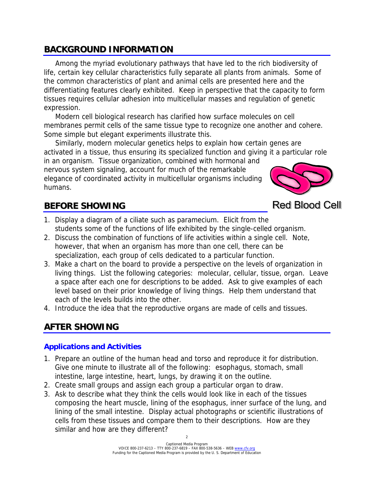## **BACKGROUND INFORMATION**

 Among the myriad evolutionary pathways that have led to the rich biodiversity of life, certain key cellular characteristics fully separate all plants from animals. Some of the common characteristics of plant and animal cells are presented here and the differentiating features clearly exhibited. Keep in perspective that the capacity to form tissues requires cellular adhesion into multicellular masses and regulation of genetic expression.

 Modern cell biological research has clarified how surface molecules on cell membranes permit cells of the same tissue type to recognize one another and cohere. Some simple but elegant experiments illustrate this.

 Similarly, modern molecular genetics helps to explain how certain genes are activated in a tissue, thus ensuring its specialized function and giving it a particular role

in an organism. Tissue organization, combined with hormonal and nervous system signaling, account for much of the remarkable elegance of coordinated activity in multicellular organisms including humans.



**Red Blood Cell** 

# **BEFORE SHOWING**

- 1. Display a diagram of a ciliate such as paramecium. Elicit from the students some of the functions of life exhibited by the single-celled organism.
- 2. Discuss the combination of functions of life activities within a single cell. Note, however, that when an organism has more than one cell, there can be specialization, each group of cells dedicated to a particular function.
- 3. Make a chart on the board to provide a perspective on the levels of organization in living things. List the following categories: molecular, cellular, tissue, organ. Leave a space after each one for descriptions to be added. Ask to give examples of each level based on their prior knowledge of living things. Help them understand that each of the levels builds into the other.
- 4. Introduce the idea that the reproductive organs are made of cells and tissues.

## **AFTER SHOWING**

### **Applications and Activities**

- 1. Prepare an outline of the human head and torso and reproduce it for distribution. Give one minute to illustrate all of the following: esophagus, stomach, small intestine, large intestine, heart, lungs, by drawing it on the outline.
- 2. Create small groups and assign each group a particular organ to draw.
- 3. Ask to describe what they think the cells would look like in each of the tissues composing the heart muscle, lining of the esophagus, inner surface of the lung, and lining of the small intestine. Display actual photographs or scientific illustrations of cells from these tissues and compare them to their descriptions. How are they similar and how are they different?